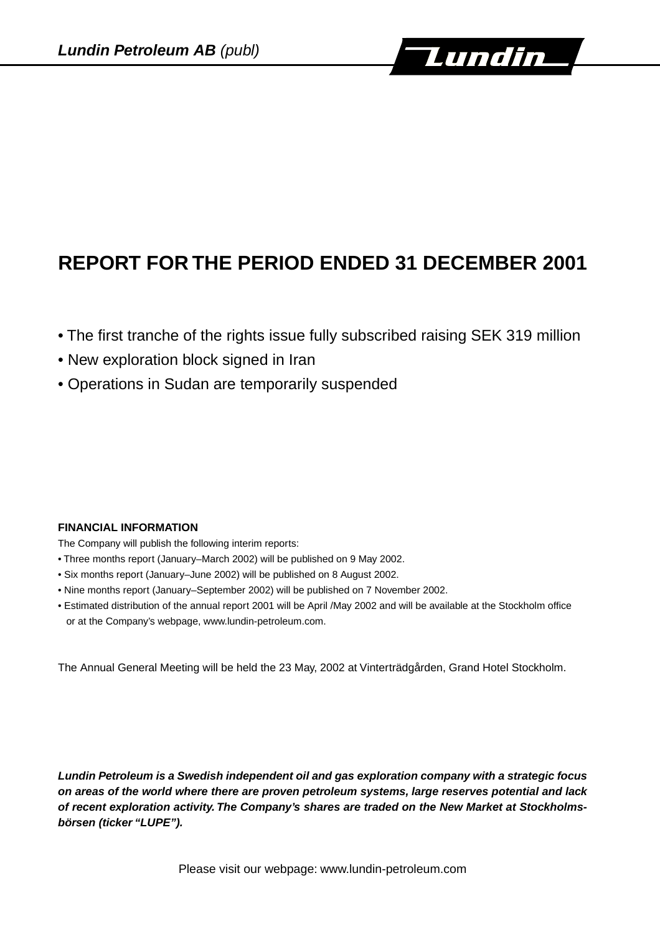

# **REPORT FOR THE PERIOD ENDED 31 DECEMBER 2001**

- The first tranche of the rights issue fully subscribed raising SEK 319 million
- New exploration block signed in Iran
- Operations in Sudan are temporarily suspended

# **FINANCIAL INFORMATION**

The Company will publish the following interim reports:

- Three months report (January–March 2002) will be published on 9 May 2002.
- Six months report (January–June 2002) will be published on 8 August 2002.
- Nine months report (January–September 2002) will be published on 7 November 2002.
- Estimated distribution of the annual report 2001 will be April /May 2002 and will be available at the Stockholm office or at the Company's webpage, www.lundin-petroleum.com.

The Annual General Meeting will be held the 23 May, 2002 at Vinterträdgården, Grand Hotel Stockholm.

**Lundin Petroleum is a Swedish independent oil and gas exploration company with a strategic focus on areas of the world where there are proven petroleum systems, large reserves potential and lack of recent exploration activity. The Company's shares are traded on the New Market at Stockholmsbörsen (ticker "LUPE").**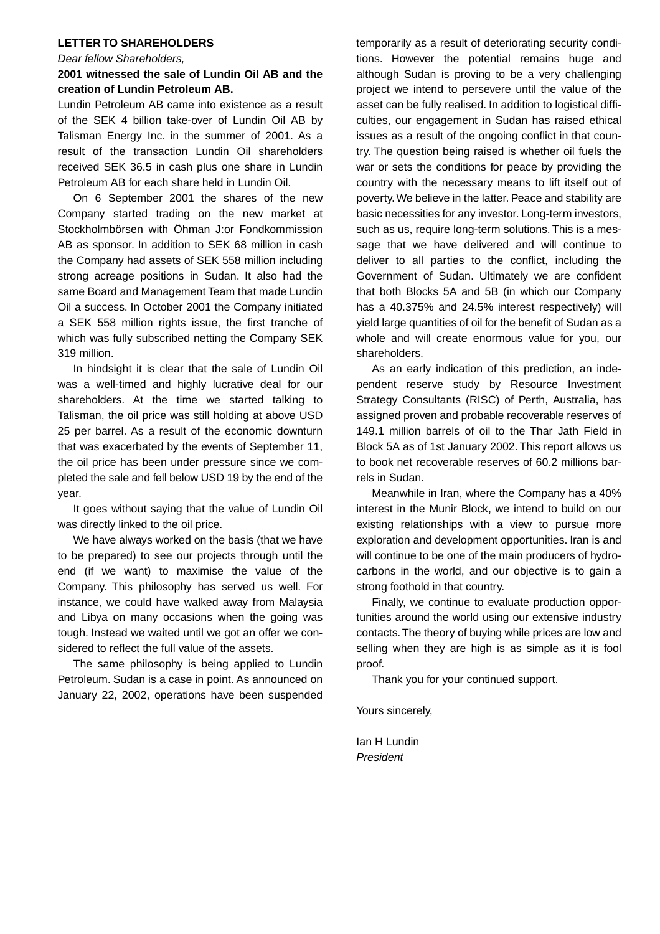#### **LETTER TO SHAREHOLDERS**

#### Dear fellow Shareholders,

## **2001 witnessed the sale of Lundin Oil AB and the creation of Lundin Petroleum AB.**

Lundin Petroleum AB came into existence as a result of the SEK 4 billion take-over of Lundin Oil AB by Talisman Energy Inc. in the summer of 2001. As a result of the transaction Lundin Oil shareholders received SEK 36.5 in cash plus one share in Lundin Petroleum AB for each share held in Lundin Oil.

On 6 September 2001 the shares of the new Company started trading on the new market at Stockholmbörsen with Öhman J:or Fondkommission AB as sponsor. In addition to SEK 68 million in cash the Company had assets of SEK 558 million including strong acreage positions in Sudan. It also had the same Board and Management Team that made Lundin Oil a success. In October 2001 the Company initiated a SEK 558 million rights issue, the first tranche of which was fully subscribed netting the Company SEK 319 million.

In hindsight it is clear that the sale of Lundin Oil was a well-timed and highly lucrative deal for our shareholders. At the time we started talking to Talisman, the oil price was still holding at above USD 25 per barrel. As a result of the economic downturn that was exacerbated by the events of September 11, the oil price has been under pressure since we completed the sale and fell below USD 19 by the end of the year.

It goes without saying that the value of Lundin Oil was directly linked to the oil price.

We have always worked on the basis (that we have to be prepared) to see our projects through until the end (if we want) to maximise the value of the Company. This philosophy has served us well. For instance, we could have walked away from Malaysia and Libya on many occasions when the going was tough. Instead we waited until we got an offer we considered to reflect the full value of the assets.

The same philosophy is being applied to Lundin Petroleum. Sudan is a case in point. As announced on January 22, 2002, operations have been suspended temporarily as a result of deteriorating security conditions. However the potential remains huge and although Sudan is proving to be a very challenging project we intend to persevere until the value of the asset can be fully realised. In addition to logistical difficulties, our engagement in Sudan has raised ethical issues as a result of the ongoing conflict in that country. The question being raised is whether oil fuels the war or sets the conditions for peace by providing the country with the necessary means to lift itself out of poverty. We believe in the latter. Peace and stability are basic necessities for any investor. Long-term investors, such as us, require long-term solutions. This is a message that we have delivered and will continue to deliver to all parties to the conflict, including the Government of Sudan. Ultimately we are confident that both Blocks 5A and 5B (in which our Company has a 40.375% and 24.5% interest respectively) will yield large quantities of oil for the benefit of Sudan as a whole and will create enormous value for you, our shareholders.

As an early indication of this prediction, an independent reserve study by Resource Investment Strategy Consultants (RISC) of Perth, Australia, has assigned proven and probable recoverable reserves of 149.1 million barrels of oil to the Thar Jath Field in Block 5A as of 1st January 2002. This report allows us to book net recoverable reserves of 60.2 millions barrels in Sudan.

Meanwhile in Iran, where the Company has a 40% interest in the Munir Block, we intend to build on our existing relationships with a view to pursue more exploration and development opportunities. Iran is and will continue to be one of the main producers of hydrocarbons in the world, and our objective is to gain a strong foothold in that country.

Finally, we continue to evaluate production opportunities around the world using our extensive industry contacts.The theory of buying while prices are low and selling when they are high is as simple as it is fool proof.

Thank you for your continued support.

Yours sincerely,

Ian H Lundin President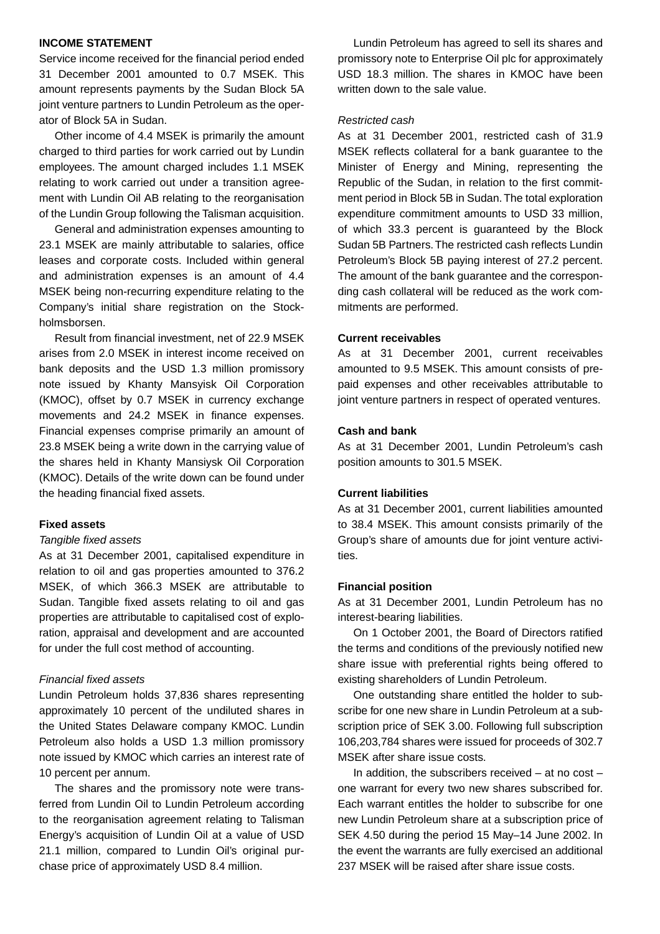## **INCOME STATEMENT**

Service income received for the financial period ended 31 December 2001 amounted to 0.7 MSEK. This amount represents payments by the Sudan Block 5A joint venture partners to Lundin Petroleum as the operator of Block 5A in Sudan.

Other income of 4.4 MSEK is primarily the amount charged to third parties for work carried out by Lundin employees. The amount charged includes 1.1 MSEK relating to work carried out under a transition agreement with Lundin Oil AB relating to the reorganisation of the Lundin Group following the Talisman acquisition.

General and administration expenses amounting to 23.1 MSEK are mainly attributable to salaries, office leases and corporate costs. Included within general and administration expenses is an amount of 4.4 MSEK being non-recurring expenditure relating to the Company's initial share registration on the Stockholmsborsen.

Result from financial investment, net of 22.9 MSEK arises from 2.0 MSEK in interest income received on bank deposits and the USD 1.3 million promissory note issued by Khanty Mansyisk Oil Corporation (KMOC), offset by 0.7 MSEK in currency exchange movements and 24.2 MSEK in finance expenses. Financial expenses comprise primarily an amount of 23.8 MSEK being a write down in the carrying value of the shares held in Khanty Mansiysk Oil Corporation (KMOC). Details of the write down can be found under the heading financial fixed assets.

#### **Fixed assets**

#### Tangible fixed assets

As at 31 December 2001, capitalised expenditure in relation to oil and gas properties amounted to 376.2 MSEK, of which 366.3 MSEK are attributable to Sudan. Tangible fixed assets relating to oil and gas properties are attributable to capitalised cost of exploration, appraisal and development and are accounted for under the full cost method of accounting.

#### Financial fixed assets

Lundin Petroleum holds 37,836 shares representing approximately 10 percent of the undiluted shares in the United States Delaware company KMOC. Lundin Petroleum also holds a USD 1.3 million promissory note issued by KMOC which carries an interest rate of 10 percent per annum.

The shares and the promissory note were transferred from Lundin Oil to Lundin Petroleum according to the reorganisation agreement relating to Talisman Energy's acquisition of Lundin Oil at a value of USD 21.1 million, compared to Lundin Oil's original purchase price of approximately USD 8.4 million.

Lundin Petroleum has agreed to sell its shares and promissory note to Enterprise Oil plc for approximately USD 18.3 million. The shares in KMOC have been written down to the sale value.

#### Restricted cash

As at 31 December 2001, restricted cash of 31.9 MSEK reflects collateral for a bank guarantee to the Minister of Energy and Mining, representing the Republic of the Sudan, in relation to the first commitment period in Block 5B in Sudan.The total exploration expenditure commitment amounts to USD 33 million, of which 33.3 percent is guaranteed by the Block Sudan 5B Partners.The restricted cash reflects Lundin Petroleum's Block 5B paying interest of 27.2 percent. The amount of the bank guarantee and the corresponding cash collateral will be reduced as the work commitments are performed.

## **Current receivables**

As at 31 December 2001, current receivables amounted to 9.5 MSEK. This amount consists of prepaid expenses and other receivables attributable to joint venture partners in respect of operated ventures.

# **Cash and bank**

As at 31 December 2001, Lundin Petroleum's cash position amounts to 301.5 MSEK.

#### **Current liabilities**

As at 31 December 2001, current liabilities amounted to 38.4 MSEK. This amount consists primarily of the Group's share of amounts due for joint venture activities.

#### **Financial position**

As at 31 December 2001, Lundin Petroleum has no interest-bearing liabilities.

On 1 October 2001, the Board of Directors ratified the terms and conditions of the previously notified new share issue with preferential rights being offered to existing shareholders of Lundin Petroleum.

One outstanding share entitled the holder to subscribe for one new share in Lundin Petroleum at a subscription price of SEK 3.00. Following full subscription 106,203,784 shares were issued for proceeds of 302.7 MSEK after share issue costs.

In addition, the subscribers received  $-$  at no cost  $$ one warrant for every two new shares subscribed for. Each warrant entitles the holder to subscribe for one new Lundin Petroleum share at a subscription price of SEK 4.50 during the period 15 May–14 June 2002. In the event the warrants are fully exercised an additional 237 MSEK will be raised after share issue costs.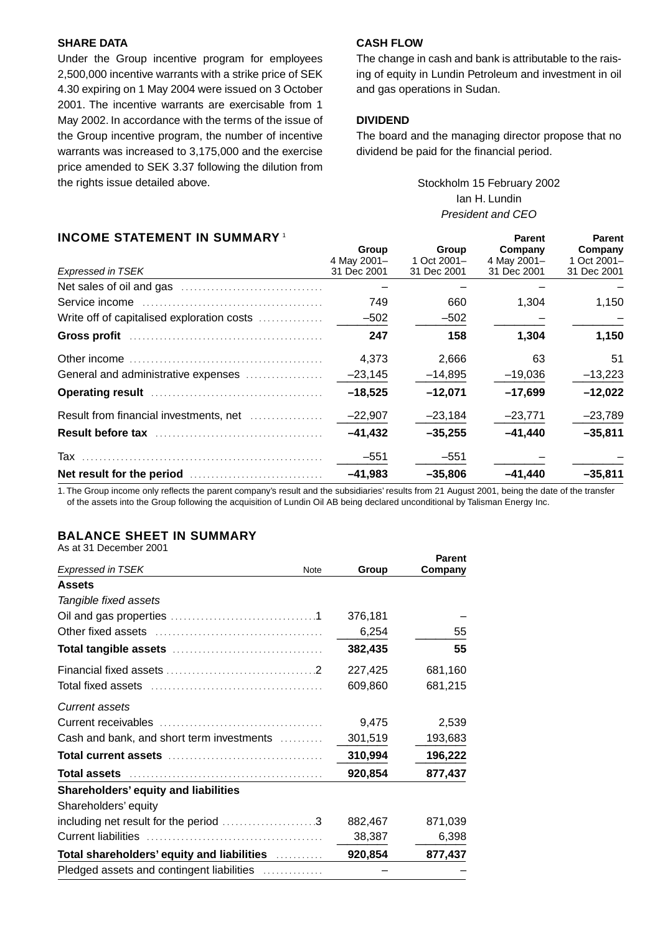## **SHARE DATA**

Under the Group incentive program for employees 2,500,000 incentive warrants with a strike price of SEK 4.30 expiring on 1 May 2004 were issued on 3 October 2001. The incentive warrants are exercisable from 1 May 2002. In accordance with the terms of the issue of the Group incentive program, the number of incentive warrants was increased to 3,175,000 and the exercise price amended to SEK 3.37 following the dilution from the rights issue detailed above.

# **CASH FLOW**

The change in cash and bank is attributable to the raising of equity in Lundin Petroleum and investment in oil and gas operations in Sudan.

#### **DIVIDEND**

The board and the managing director propose that no dividend be paid for the financial period.

# Stockholm 15 February 2002 Ian H. Lundin President and CEO

# **INCOME STATEMENT IN SUMMARY**<sup>1</sup> **1 Parent Parent Parent** Parent

| INVUINL UTALLINLINT IN UUININAINT<br><b>Expressed in TSEK</b>                                                                                                                                                                 | Group<br>4 May 2001-<br>31 Dec 2001 | Group<br>1 Oct 2001-<br>31 Dec 2001 | гани<br>Company<br>4 May 2001-<br>31 Dec 2001 | гансны<br>Company<br>1 Oct 2001-<br>31 Dec 2001 |
|-------------------------------------------------------------------------------------------------------------------------------------------------------------------------------------------------------------------------------|-------------------------------------|-------------------------------------|-----------------------------------------------|-------------------------------------------------|
|                                                                                                                                                                                                                               |                                     |                                     |                                               |                                                 |
|                                                                                                                                                                                                                               | 749                                 | 660                                 | 1,304                                         | 1,150                                           |
| Write off of capitalised exploration costs                                                                                                                                                                                    | $-502$                              | $-502$                              |                                               |                                                 |
|                                                                                                                                                                                                                               | 247                                 | 158                                 | 1,304                                         | 1,150                                           |
|                                                                                                                                                                                                                               | 4,373                               | 2,666                               | 63                                            | 51                                              |
| General and administrative expenses                                                                                                                                                                                           | $-23,145$                           | $-14,895$                           | $-19,036$                                     | $-13,223$                                       |
| Operating result manual contracts and the contracts of the contracts of the contracts of the contracts of the contracts of the contracts of the contracts of the contracts of the contracts of the contracts of the contracts | $-18,525$                           | $-12,071$                           | $-17,699$                                     | $-12,022$                                       |
| Result from financial investments, net                                                                                                                                                                                        | $-22,907$                           | $-23,184$                           | $-23,771$                                     | $-23,789$                                       |
| Result before tax                                                                                                                                                                                                             | $-41,432$                           | $-35,255$                           | $-41,440$                                     | $-35,811$                                       |
|                                                                                                                                                                                                                               | $-551$                              | $-551$                              |                                               |                                                 |
|                                                                                                                                                                                                                               | $-41,983$                           | $-35,806$                           | $-41,440$                                     | $-35,811$                                       |

1. The Group income only reflects the parent company's result and the subsidiaries' results from 21 August 2001, being the date of the transfer of the assets into the Group following the acquisition of Lundin Oil AB being declared unconditional by Talisman Energy Inc.

# **BALANCE SHEET IN SUMMARY**

As at 31 December 2001

|                                                             |         | <b>Parent</b> |
|-------------------------------------------------------------|---------|---------------|
| <b>Expressed in TSEK</b><br><b>Note</b>                     | Group   | Company       |
| <b>Assets</b>                                               |         |               |
| Tangible fixed assets                                       |         |               |
|                                                             | 376,181 |               |
|                                                             | 6,254   | 55            |
|                                                             | 382,435 | 55            |
|                                                             | 227,425 | 681,160       |
|                                                             | 609,860 | 681,215       |
| <b>Current assets</b>                                       |         |               |
|                                                             | 9,475   | 2,539         |
| Cash and bank, and short term investments                   | 301,519 | 193,683       |
|                                                             | 310,994 | 196,222       |
|                                                             | 920,854 | 877,437       |
| <b>Shareholders' equity and liabilities</b>                 |         |               |
| Shareholders' equity                                        |         |               |
| including net result for the period 3                       | 882,467 | 871,039       |
| <b>Current liabilities</b>                                  | 38,387  | 6,398         |
| Total shareholders' equity and liabilities <b>contained</b> | 920,854 | 877,437       |
| Pledged assets and contingent liabilities                   |         |               |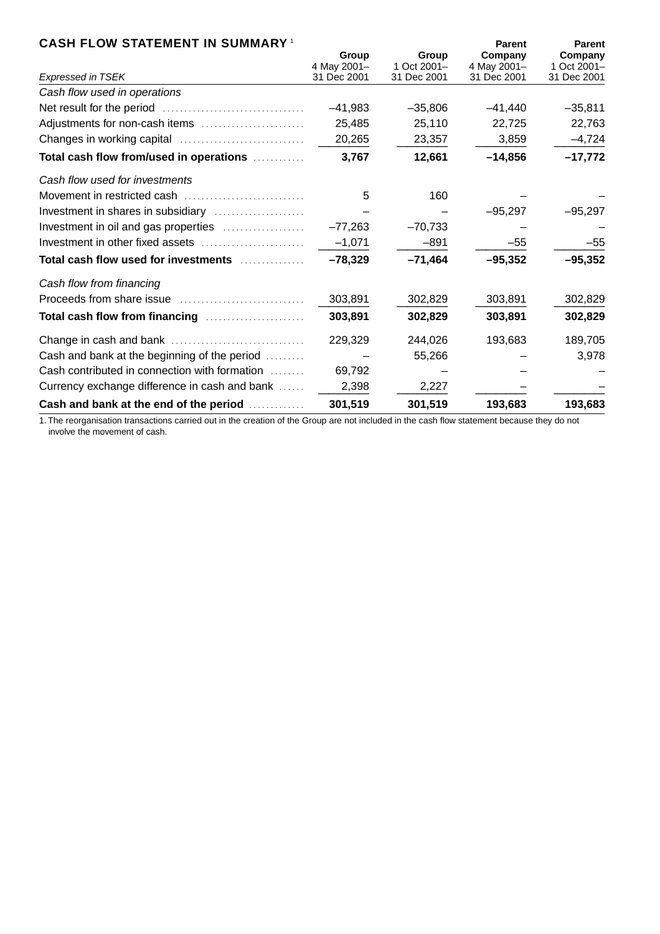# **CASH FLOW STATEMENT IN SUMMARY** <sup>1</sup> **Parent Parent**

| Expressed in TSEK                                        | Group<br>4 May 2001-<br>31 Dec 2001 | Group<br>1 Oct 2001-<br>31 Dec 2001 | Company<br>4 May 2001-<br>31 Dec 2001 | Company<br>1 Oct 2001-<br>31 Dec 2001 |
|----------------------------------------------------------|-------------------------------------|-------------------------------------|---------------------------------------|---------------------------------------|
| Cash flow used in operations                             |                                     |                                     |                                       |                                       |
|                                                          | $-41,983$                           | $-35,806$                           | $-41,440$                             | $-35,811$                             |
| Adjustments for non-cash items                           | 25,485                              | 25,110                              | 22,725                                | 22,763                                |
|                                                          | 20,265                              | 23,357                              | 3,859                                 | $-4,724$                              |
| Total cash flow from/used in operations                  | 3,767                               | 12,661                              | $-14,856$                             | $-17,772$                             |
| Cash flow used for investments                           |                                     |                                     |                                       |                                       |
|                                                          | 5                                   | 160                                 |                                       |                                       |
| Investment in shares in subsidiary                       |                                     |                                     | $-95,297$                             | $-95,297$                             |
| Investment in oil and gas properties                     | $-77,263$                           | $-70,733$                           |                                       |                                       |
|                                                          | $-1,071$                            | $-891$                              | $-55$                                 | $-55$                                 |
| Total cash flow used for investments <i>minimization</i> | $-78,329$                           | $-71,464$                           | $-95,352$                             | $-95,352$                             |
| Cash flow from financing                                 |                                     |                                     |                                       |                                       |
|                                                          | 303,891                             | 302,829                             | 303,891                               | 302,829                               |
| Total cash flow from financing                           | 303,891                             | 302,829                             | 303,891                               | 302,829                               |
|                                                          | 229,329                             | 244,026                             | 193,683                               | 189,705                               |
| Cash and bank at the beginning of the period             |                                     | 55,266                              |                                       | 3,978                                 |
| Cash contributed in connection with formation            | 69,792                              |                                     |                                       |                                       |
| Currency exchange difference in cash and bank            | 2,398                               | 2,227                               |                                       |                                       |
| Cash and bank at the end of the period                   | 301,519                             | 301,519                             | 193,683                               | 193,683                               |

1. The reorganisation transactions carried out in the creation of the Group are not included in the cash flow statement because they do not involve the movement of cash.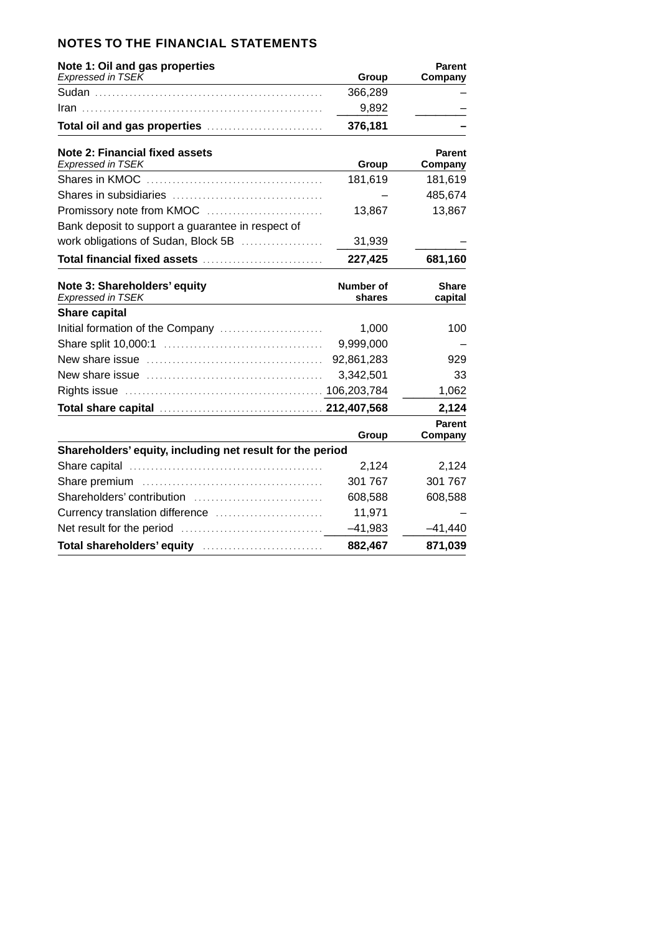| <b>NOTES TO THE FINANCIAL STATEMENTS</b> |  |
|------------------------------------------|--|
|------------------------------------------|--|

| Note 1: Oil and gas properties                                                                                                           |                            | <b>Parent</b>            |
|------------------------------------------------------------------------------------------------------------------------------------------|----------------------------|--------------------------|
| <b>Expressed in TSEK</b>                                                                                                                 | Group                      | Company                  |
|                                                                                                                                          | 366,289                    |                          |
|                                                                                                                                          | 9,892                      |                          |
| Total oil and gas properties                                                                                                             | 376,181                    |                          |
| Note 2: Financial fixed assets<br><b>Expressed in TSEK</b><br>the control of the control of the control of the control of the control of | Group                      | <b>Parent</b><br>Company |
|                                                                                                                                          | 181,619                    | 181,619                  |
|                                                                                                                                          |                            | 485,674                  |
| Promissory note from KMOC                                                                                                                | 13,867                     | 13,867                   |
| Bank deposit to support a guarantee in respect of                                                                                        |                            |                          |
| work obligations of Sudan, Block 5B                                                                                                      | 31,939                     |                          |
| Total financial fixed assets                                                                                                             | 227,425                    | 681,160                  |
| Note 3: Shareholders' equity<br>Expressed in TSEK                                                                                        | <b>Number of</b><br>shares | <b>Share</b><br>capital  |
| <b>Share capital</b>                                                                                                                     |                            |                          |
| Initial formation of the Company                                                                                                         | 1,000                      | 100                      |
|                                                                                                                                          | 9,999,000                  |                          |
|                                                                                                                                          | 92,861,283                 | 929                      |
|                                                                                                                                          | 3,342,501                  | 33                       |
|                                                                                                                                          |                            | 1,062                    |
|                                                                                                                                          |                            | 2,124                    |
|                                                                                                                                          | Group                      | Parent<br>Company        |
| Shareholders' equity, including net result for the period                                                                                |                            |                          |
|                                                                                                                                          | 2,124                      | 2,124                    |
|                                                                                                                                          | 301 767                    | 301 767                  |
|                                                                                                                                          | 608,588                    | 608,588                  |
|                                                                                                                                          | 11,971                     |                          |
|                                                                                                                                          | $-41,983$                  | $-41,440$                |
|                                                                                                                                          | 882,467                    | 871,039                  |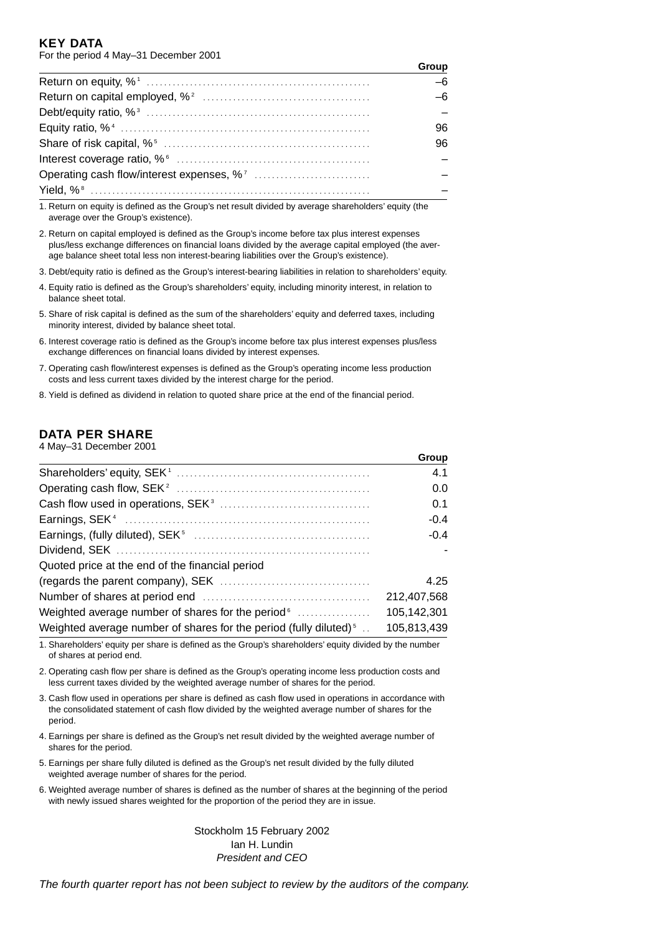#### **KEY DATA** For the period 4 May–31 December 2001

| Group |
|-------|
| $-6$  |
| $-6$  |
|       |
| 96    |
| 96    |
|       |
|       |
|       |

1. Return on equity is defined as the Group's net result divided by average shareholders' equity (the average over the Group's existence).

2. Return on capital employed is defined as the Group's income before tax plus interest expenses plus/less exchange differences on financial loans divided by the average capital employed (the average balance sheet total less non interest-bearing liabilities over the Group's existence).

3. Debt/equity ratio is defined as the Group's interest-bearing liabilities in relation to shareholders' equity.

- 4. Equity ratio is defined as the Group's shareholders' equity, including minority interest, in relation to balance sheet total.
- 5. Share of risk capital is defined as the sum of the shareholders' equity and deferred taxes, including minority interest, divided by balance sheet total.
- 6. Interest coverage ratio is defined as the Group's income before tax plus interest expenses plus/less exchange differences on financial loans divided by interest expenses.
- 7. Operating cash flow/interest expenses is defined as the Group's operating income less production costs and less current taxes divided by the interest charge for the period.
- 8. Yield is defined as dividend in relation to quoted share price at the end of the financial period.

# **DATA PER SHARE**

|  |  | 4 May-31 December 2001 |  |
|--|--|------------------------|--|
|--|--|------------------------|--|

|                                                                                 | Group       |
|---------------------------------------------------------------------------------|-------------|
|                                                                                 | 4.1         |
|                                                                                 | 0.0         |
|                                                                                 | 0.1         |
|                                                                                 | $-0.4$      |
|                                                                                 | $-0.4$      |
|                                                                                 |             |
| Quoted price at the end of the financial period                                 |             |
|                                                                                 | 4.25        |
|                                                                                 | 212,407,568 |
|                                                                                 | 105,142,301 |
| Weighted average number of shares for the period (fully diluted) <sup>5</sup> . | 105,813,439 |

1. Shareholders' equity per share is defined as the Group's shareholders' equity divided by the number of shares at period end.

2. Operating cash flow per share is defined as the Group's operating income less production costs and less current taxes divided by the weighted average number of shares for the period.

3. Cash flow used in operations per share is defined as cash flow used in operations in accordance with the consolidated statement of cash flow divided by the weighted average number of shares for the period.

- 4. Earnings per share is defined as the Group's net result divided by the weighted average number of shares for the period.
- 5. Earnings per share fully diluted is defined as the Group's net result divided by the fully diluted weighted average number of shares for the period.
- 6. Weighted average number of shares is defined as the number of shares at the beginning of the period with newly issued shares weighted for the proportion of the period they are in issue.

Stockholm 15 February 2002 Ian H. Lundin President and CEO

The fourth quarter report has not been subject to review by the auditors of the company.